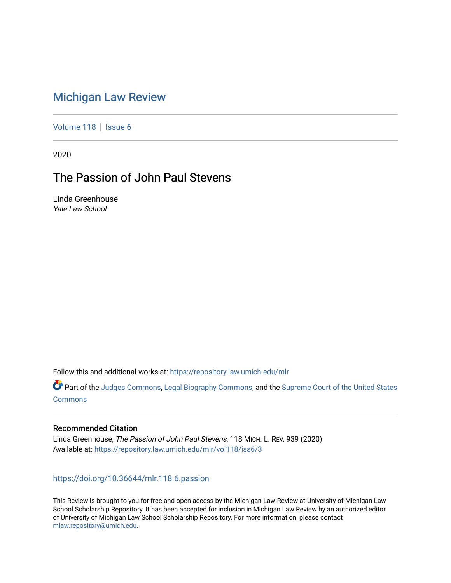# [Michigan Law Review](https://repository.law.umich.edu/mlr)

[Volume 118](https://repository.law.umich.edu/mlr/vol118) | [Issue 6](https://repository.law.umich.edu/mlr/vol118/iss6)

2020

# The Passion of John Paul Stevens

Linda Greenhouse Yale Law School

Follow this and additional works at: [https://repository.law.umich.edu/mlr](https://repository.law.umich.edu/mlr?utm_source=repository.law.umich.edu%2Fmlr%2Fvol118%2Fiss6%2F3&utm_medium=PDF&utm_campaign=PDFCoverPages) 

Part of the [Judges Commons,](http://network.bepress.com/hgg/discipline/849?utm_source=repository.law.umich.edu%2Fmlr%2Fvol118%2Fiss6%2F3&utm_medium=PDF&utm_campaign=PDFCoverPages) [Legal Biography Commons,](http://network.bepress.com/hgg/discipline/834?utm_source=repository.law.umich.edu%2Fmlr%2Fvol118%2Fiss6%2F3&utm_medium=PDF&utm_campaign=PDFCoverPages) and the [Supreme Court of the United States](http://network.bepress.com/hgg/discipline/1350?utm_source=repository.law.umich.edu%2Fmlr%2Fvol118%2Fiss6%2F3&utm_medium=PDF&utm_campaign=PDFCoverPages)  **[Commons](http://network.bepress.com/hgg/discipline/1350?utm_source=repository.law.umich.edu%2Fmlr%2Fvol118%2Fiss6%2F3&utm_medium=PDF&utm_campaign=PDFCoverPages)** 

### Recommended Citation

Linda Greenhouse, The Passion of John Paul Stevens, 118 MICH. L. REV. 939 (2020). Available at: [https://repository.law.umich.edu/mlr/vol118/iss6/3](https://repository.law.umich.edu/mlr/vol118/iss6/3?utm_source=repository.law.umich.edu%2Fmlr%2Fvol118%2Fiss6%2F3&utm_medium=PDF&utm_campaign=PDFCoverPages) 

## <https://doi.org/10.36644/mlr.118.6.passion>

This Review is brought to you for free and open access by the Michigan Law Review at University of Michigan Law School Scholarship Repository. It has been accepted for inclusion in Michigan Law Review by an authorized editor of University of Michigan Law School Scholarship Repository. For more information, please contact [mlaw.repository@umich.edu.](mailto:mlaw.repository@umich.edu)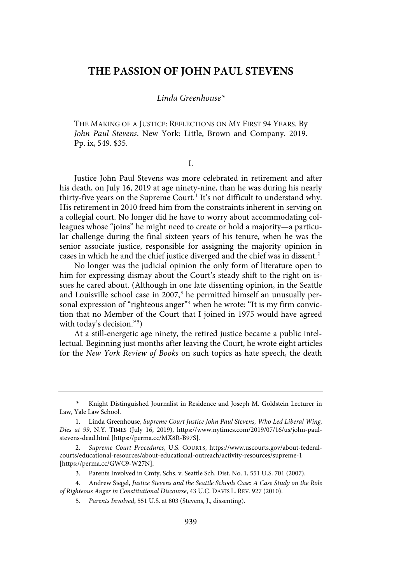## **THE PASSION OF JOHN PAUL STEVENS**

### Linda Greenhouse\*

THE MAKING OF A JUSTICE: REFLECTIONS ON MY FIRST 94 YEARS. By John Paul Stevens. New York: Little, Brown and Company. 2019. Pp. ix, 549. \$35.

I.

Justice John Paul Stevens was more celebrated in retirement and after his death, on July 16, 2019 at age ninety-nine, than he was during his nearly thirty-five years on the Supreme Court.<sup>1</sup> It's not difficult to understand why. His retirement in 2010 freed him from the constraints inherent in serving on a collegial court. No longer did he have to worry about accommodating colleagues whose "joins" he might need to create or hold a majority—a particular challenge during the final sixteen years of his tenure, when he was the senior associate justice, responsible for assigning the majority opinion in cases in which he and the chief justice diverged and the chief was in dissent.<sup>2</sup>

No longer was the judicial opinion the only form of literature open to him for expressing dismay about the Court's steady shift to the right on issues he cared about. (Although in one late dissenting opinion, in the Seattle and Louisville school case in 2007,<sup>3</sup> he permitted himself an unusually personal expression of "righteous anger"<sup>4</sup> when he wrote: "It is my firm conviction that no Member of the Court that I joined in 1975 would have agreed with today's decision."<sup>5</sup> )

At a still-energetic age ninety, the retired justice became a public intellectual. Beginning just months after leaving the Court, he wrote eight articles for the New York Review of Books on such topics as hate speech, the death

Knight Distinguished Journalist in Residence and Joseph M. Goldstein Lecturer in Law, Yale Law School.

<sup>1.</sup> Linda Greenhouse, Supreme Court Justice John Paul Stevens, Who Led Liberal Wing, Dies at 99, N.Y. TIMES (July 16, 2019), https://www.nytimes.com/2019/07/16/us/john-paulstevens-dead.html [https://perma.cc/MX8R-B97S].

<sup>2</sup>. Supreme Court Procedures, U.S. COURTS, https://www.uscourts.gov/about-federalcourts/educational-resources/about-educational-outreach/activity-resources/supreme-1 [https://perma.cc/GWC9-W27N].

<sup>3.</sup> Parents Involved in Cmty. Schs. v. Seattle Sch. Dist. No. 1, 551 U.S. 701 (2007).

<sup>4.</sup> Andrew Siegel, Justice Stevens and the Seattle Schools Case: A Case Study on the Role of Righteous Anger in Constitutional Discourse, 43 U.C. DAVIS L. REV. 927 (2010).

<sup>5</sup>. Parents Involved, 551 U.S. at 803 (Stevens, J., dissenting).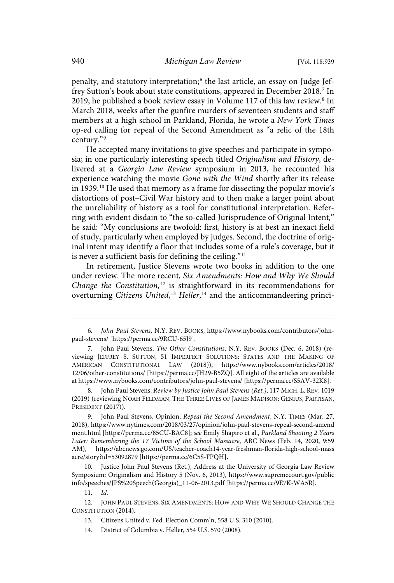penalty, and statutory interpretation; 6 the last article, an essay on Judge Jeffrey Sutton's book about state constitutions, appeared in December 2018.<sup>7</sup> In 2019, he published a book review essay in Volume 117 of this law review.<sup>8</sup> In March 2018, weeks after the gunfire murders of seventeen students and staff members at a high school in Parkland, Florida, he wrote a New York Times op-ed calling for repeal of the Second Amendment as "a relic of the 18th century."<sup>9</sup>

He accepted many invitations to give speeches and participate in symposia; in one particularly interesting speech titled Originalism and History, delivered at a Georgia Law Review symposium in 2013, he recounted his experience watching the movie Gone with the Wind shortly after its release in 1939.<sup>10</sup> He used that memory as a frame for dissecting the popular movie's distortions of post–Civil War history and to then make a larger point about the unreliability of history as a tool for constitutional interpretation. Referring with evident disdain to "the so-called Jurisprudence of Original Intent," he said: "My conclusions are twofold: first, history is at best an inexact field of study, particularly when employed by judges. Second, the doctrine of original intent may identify a floor that includes some of a rule's coverage, but it is never a sufficient basis for defining the ceiling."<sup>11</sup>

In retirement, Justice Stevens wrote two books in addition to the one under review. The more recent, Six Amendments: How and Why We Should Change the Constitution,<sup>12</sup> is straightforward in its recommendations for overturning Citizens United,<sup>13</sup> Heller,<sup>14</sup> and the anticommandeering princi-

10. Justice John Paul Stevens (Ret.), Address at the University of Georgia Law Review Symposium: Originalism and History 5 (Nov. 6, 2013), https://www.supremecourt.gov/public info/speeches/JPS%20Speech(Georgia)\_11-06-2013.pdf [https://perma.cc/9E7K-WA5R].

11. Id.

<sup>6</sup>. John Paul Stevens, N.Y. REV. BOOKS, https://www.nybooks.com/contributors/johnpaul-stevens/ [https://perma.cc/9RCU-65J9].

<sup>7.</sup> John Paul Stevens, The Other Constitutions, N.Y. REV. BOOKS (Dec. 6, 2018) (reviewing JEFFREY S. SUTTON, 51 IMPERFECT SOLUTIONS: STATES AND THE MAKING OF AMERICAN CONSTITUTIONAL LAW (2018)), https://www.nybooks.com/articles/2018/ 12/06/other-constitutions/ [https://perma.cc/JH29-B5ZQ]. All eight of the articles are available at https://www.nybooks.com/contributors/john-paul-stevens/ [https://perma.cc/S5AV-32K8].

<sup>8.</sup> John Paul Stevens, Review by Justice John Paul Stevens (Ret.), 117 MICH. L. REV. 1019 (2019) (reviewing NOAH FELDMAN, THE THREE LIVES OF JAMES MADISON: GENIUS, PARTISAN, PRESIDENT (2017)).

<sup>9.</sup> John Paul Stevens, Opinion, Repeal the Second Amendment, N.Y. TIMES (Mar. 27, 2018), https://www.nytimes.com/2018/03/27/opinion/john-paul-stevens-repeal-second-amend ment.html [https://perma.cc/85CU-BAC8]; see Emily Shapiro et al., Parkland Shooting 2 Years Later: Remembering the 17 Victims of the School Massacre, ABC News (Feb. 14, 2020, 9:59 AM), https://abcnews.go.com/US/teacher-coach14-year-freshman-florida-high-school-mass acre/story?id=53092879 [https://perma.cc/6C5S-FPQH**].**

<sup>12.</sup> JOHN PAUL STEVENS, SIX AMENDMENTS: HOW AND WHY WE SHOULD CHANGE THE CONSTITUTION (2014).

<sup>13.</sup> Citizens United v. Fed. Election Comm'n, 558 U.S. 310 (2010).

<sup>14.</sup> District of Columbia v. Heller, 554 U.S. 570 (2008).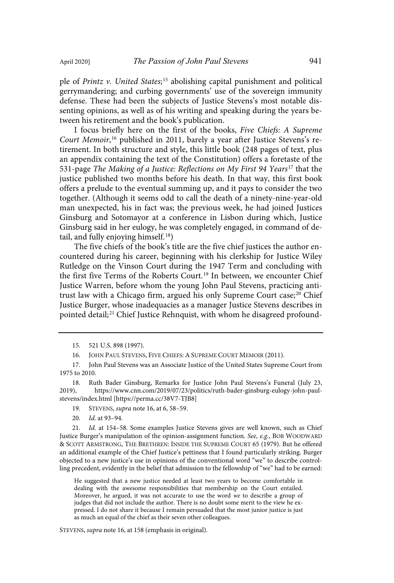ple of Printz v. United States;<sup>15</sup> abolishing capital punishment and political gerrymandering; and curbing governments' use of the sovereign immunity defense. These had been the subjects of Justice Stevens's most notable dissenting opinions, as well as of his writing and speaking during the years between his retirement and the book's publication.

I focus briefly here on the first of the books, Five Chiefs: A Supreme Court Memoir,<sup>16</sup> published in 2011, barely a year after Justice Stevens's retirement. In both structure and style, this little book (248 pages of text, plus an appendix containing the text of the Constitution) offers a foretaste of the 531-page The Making of a Justice: Reflections on My First 94 Years<sup>17</sup> that the justice published two months before his death. In that way, this first book offers a prelude to the eventual summing up, and it pays to consider the two together. (Although it seems odd to call the death of a ninety-nine-year-old man unexpected, his in fact was; the previous week, he had joined Justices Ginsburg and Sotomayor at a conference in Lisbon during which, Justice Ginsburg said in her eulogy, he was completely engaged, in command of detail, and fully enjoying himself.<sup>18</sup>)

The five chiefs of the book's title are the five chief justices the author encountered during his career, beginning with his clerkship for Justice Wiley Rutledge on the Vinson Court during the 1947 Term and concluding with the first five Terms of the Roberts Court. <sup>19</sup> In between, we encounter Chief Justice Warren, before whom the young John Paul Stevens, practicing antitrust law with a Chicago firm, argued his only Supreme Court case; <sup>20</sup> Chief Justice Burger, whose inadequacies as a manager Justice Stevens describes in pointed detail; <sup>21</sup> Chief Justice Rehnquist, with whom he disagreed profound-

16. JOHN PAUL STEVENS, FIVE CHIEFS: A SUPREME COURT MEMOIR (2011).

19. STEVENS, supra note 16, at 6, 58–59.

20. Id. at 93–94.

21. Id. at 154–58. Some examples Justice Stevens gives are well known, such as Chief Justice Burger's manipulation of the opinion-assignment function. See, e.g., BOB WOODWARD & SCOTT ARMSTRONG, THE BRETHREN: INSIDE THE SUPREME COURT 65 (1979). But he offered an additional example of the Chief Justice's pettiness that I found particularly striking. Burger objected to a new justice's use in opinions of the conventional word "we" to describe controlling precedent, evidently in the belief that admission to the fellowship of "we" had to be earned:

He suggested that a new justice needed at least two years to become comfortable in dealing with the awesome responsibilities that membership on the Court entailed. Moreover, he argued, it was not accurate to use the word we to describe a group of judges that did not include the author. There is no doubt some merit to the view he expressed. I do not share it because I remain persuaded that the most junior justice is just as much an equal of the chief as their seven other colleagues.

STEVENS, supra note 16, at 158 (emphasis in original).

<sup>15.</sup> 521 U.S. 898 (1997).

<sup>17.</sup> John Paul Stevens was an Associate Justice of the United States Supreme Court from 1975 to 2010.

<sup>18.</sup> Ruth Bader Ginsburg, Remarks for Justice John Paul Stevens's Funeral (July 23, 2019), https://www.cnn.com/2019/07/23/politics/ruth-bader-ginsburg-eulogy-john-paulstevens/index.html [https://perma.cc/38V7-TJB8]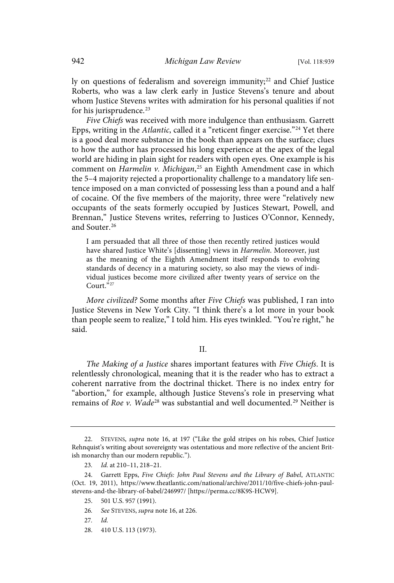ly on questions of federalism and sovereign immunity;<sup>22</sup> and Chief Justice Roberts, who was a law clerk early in Justice Stevens's tenure and about whom Justice Stevens writes with admiration for his personal qualities if not for his jurisprudence. 23

Five Chiefs was received with more indulgence than enthusiasm. Garrett Epps, writing in the Atlantic, called it a "reticent finger exercise."<sup>24</sup> Yet there is a good deal more substance in the book than appears on the surface; clues to how the author has processed his long experience at the apex of the legal world are hiding in plain sight for readers with open eyes. One example is his comment on Harmelin v. Michigan,<sup>25</sup> an Eighth Amendment case in which the 5–4 majority rejected a proportionality challenge to a mandatory life sentence imposed on a man convicted of possessing less than a pound and a half of cocaine. Of the five members of the majority, three were "relatively new occupants of the seats formerly occupied by Justices Stewart, Powell, and Brennan," Justice Stevens writes, referring to Justices O'Connor, Kennedy, and Souter. 26

I am persuaded that all three of those then recently retired justices would have shared Justice White's [dissenting] views in Harmelin. Moreover, just as the meaning of the Eighth Amendment itself responds to evolving standards of decency in a maturing society, so also may the views of individual justices become more civilized after twenty years of service on the Court."<sup>27</sup>

More civilized? Some months after Five Chiefs was published, I ran into Justice Stevens in New York City. "I think there's a lot more in your book than people seem to realize," I told him. His eyes twinkled. "You're right," he said.

#### II.

The Making of a Justice shares important features with Five Chiefs. It is relentlessly chronological, meaning that it is the reader who has to extract a coherent narrative from the doctrinal thicket. There is no index entry for "abortion," for example, although Justice Stevens's role in preserving what remains of Roe v. Wade<sup>28</sup> was substantial and well documented.<sup>29</sup> Neither is

<sup>22.</sup> STEVENS, supra note 16, at 197 ("Like the gold stripes on his robes, Chief Justice Rehnquist's writing about sovereignty was ostentatious and more reflective of the ancient British monarchy than our modern republic.").

<sup>23</sup>. Id. at 210–11, 218–21.

<sup>24.</sup> Garrett Epps, Five Chiefs: John Paul Stevens and the Library of Babel, ATLANTIC (Oct. 19, 2011), https://www.theatlantic.com/national/archive/2011/10/five-chiefs-john-paulstevens-and-the-library-of-babel/246997/ [https://perma.cc/8K9S-HCW9].

<sup>25.</sup> 501 U.S. 957 (1991).

<sup>26</sup>. See STEVENS, supra note 16, at 226.

<sup>27</sup>. Id.

<sup>28.</sup> 410 U.S. 113 (1973).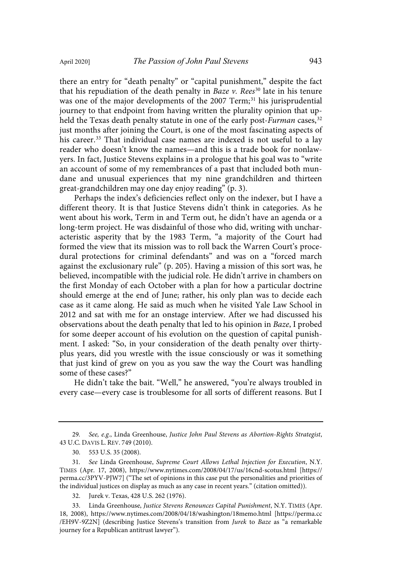there an entry for "death penalty" or "capital punishment," despite the fact that his repudiation of the death penalty in *Baze v. Rees*<sup>30</sup> late in his tenure was one of the major developments of the 2007 Term; <sup>31</sup> his jurisprudential journey to that endpoint from having written the plurality opinion that upheld the Texas death penalty statute in one of the early post-Furman cases,  $32$ just months after joining the Court, is one of the most fascinating aspects of his career. <sup>33</sup> That individual case names are indexed is not useful to a lay reader who doesn't know the names—and this is a trade book for nonlawyers. In fact, Justice Stevens explains in a prologue that his goal was to "write an account of some of my remembrances of a past that included both mundane and unusual experiences that my nine grandchildren and thirteen great-grandchildren may one day enjoy reading" (p. 3).

Perhaps the index's deficiencies reflect only on the indexer, but I have a different theory. It is that Justice Stevens didn't think in categories. As he went about his work, Term in and Term out, he didn't have an agenda or a long-term project. He was disdainful of those who did, writing with uncharacteristic asperity that by the 1983 Term, "a majority of the Court had formed the view that its mission was to roll back the Warren Court's procedural protections for criminal defendants" and was on a "forced march against the exclusionary rule" (p. 205). Having a mission of this sort was, he believed, incompatible with the judicial role. He didn't arrive in chambers on the first Monday of each October with a plan for how a particular doctrine should emerge at the end of June; rather, his only plan was to decide each case as it came along. He said as much when he visited Yale Law School in 2012 and sat with me for an onstage interview. After we had discussed his observations about the death penalty that led to his opinion in Baze, I probed for some deeper account of his evolution on the question of capital punishment. I asked: "So, in your consideration of the death penalty over thirtyplus years, did you wrestle with the issue consciously or was it something that just kind of grew on you as you saw the way the Court was handling some of these cases?"

He didn't take the bait. "Well," he answered, "you're always troubled in every case—every case is troublesome for all sorts of different reasons. But I

<sup>29</sup>. See, e.g., Linda Greenhouse, Justice John Paul Stevens as Abortion-Rights Strategist, 43 U.C. DAVIS L. REV. 749 (2010).

<sup>30.</sup> 553 U.S. 35 (2008).

<sup>31</sup>. See Linda Greenhouse, Supreme Court Allows Lethal Injection for Execution, N.Y. TIMES (Apr. 17, 2008), https://www.nytimes.com/2008/04/17/us/16cnd-scotus.html [https:// perma.cc/3PYV-PJW7] ("The set of opinions in this case put the personalities and priorities of the individual justices on display as much as any case in recent years." (citation omitted)).

<sup>32.</sup> Jurek v. Texas, 428 U.S. 262 (1976).

<sup>33.</sup> Linda Greenhouse, Justice Stevens Renounces Capital Punishment, N.Y. TIMES (Apr. 18, 2008), https://www.nytimes.com/2008/04/18/washington/18memo.html [https://perma.cc /EH9V-9Z2N] (describing Justice Stevens's transition from Jurek to Baze as "a remarkable journey for a Republican antitrust lawyer").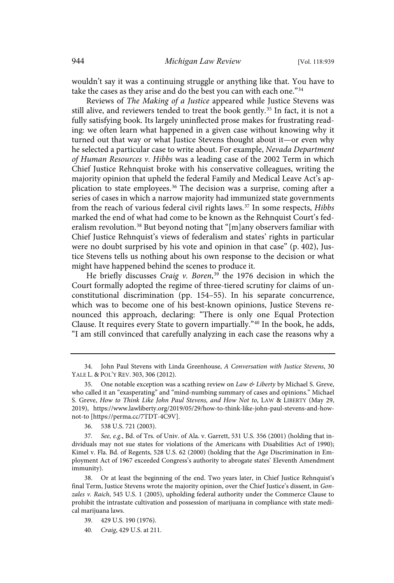wouldn't say it was a continuing struggle or anything like that. You have to take the cases as they arise and do the best you can with each one." 34

Reviews of The Making of a Justice appeared while Justice Stevens was still alive, and reviewers tended to treat the book gently.<sup>35</sup> In fact, it is not a fully satisfying book. Its largely uninflected prose makes for frustrating reading: we often learn what happened in a given case without knowing why it turned out that way or what Justice Stevens thought about it—or even why he selected a particular case to write about. For example, Nevada Department of Human Resources v. Hibbs was a leading case of the 2002 Term in which Chief Justice Rehnquist broke with his conservative colleagues, writing the majority opinion that upheld the federal Family and Medical Leave Act's application to state employees.<sup>36</sup> The decision was a surprise, coming after a series of cases in which a narrow majority had immunized state governments from the reach of various federal civil rights laws.<sup>37</sup> In some respects, Hibbs marked the end of what had come to be known as the Rehnquist Court's federalism revolution. <sup>38</sup> But beyond noting that "[m]any observers familiar with Chief Justice Rehnquist's views of federalism and states' rights in particular were no doubt surprised by his vote and opinion in that case" (p. 402), Justice Stevens tells us nothing about his own response to the decision or what might have happened behind the scenes to produce it.

He briefly discusses Craig v. Boren,<sup>39</sup> the 1976 decision in which the Court formally adopted the regime of three-tiered scrutiny for claims of unconstitutional discrimination (pp. 154–55). In his separate concurrence, which was to become one of his best-known opinions, Justice Stevens renounced this approach, declaring: "There is only one Equal Protection Clause. It requires every State to govern impartially." <sup>40</sup> In the book, he adds, "I am still convinced that carefully analyzing in each case the reasons why a

<sup>34.</sup> John Paul Stevens with Linda Greenhouse, A Conversation with Justice Stevens, 30 YALE L. & POL'Y REV. 303, 306 (2012).

<sup>35.</sup> One notable exception was a scathing review on Law  $\&$  Liberty by Michael S. Greve, who called it an "exasperating" and "mind-numbing summary of cases and opinions." Michael S. Greve, How to Think Like John Paul Stevens, and How Not to, LAW & LIBERTY (May 29, 2019), https://www.lawliberty.org/2019/05/29/how-to-think-like-john-paul-stevens-and-hownot-to [https://perma.cc/7TDT-4C9V].

<sup>36.</sup> 538 U.S. 721 (2003).

<sup>37</sup>. See, e.g., Bd. of Trs. of Univ. of Ala. v. Garrett, 531 U.S. 356 (2001) (holding that individuals may not sue states for violations of the Americans with Disabilities Act of 1990); Kimel v. Fla. Bd. of Regents, 528 U.S. 62 (2000) (holding that the Age Discrimination in Employment Act of 1967 exceeded Congress's authority to abrogate states' Eleventh Amendment immunity).

<sup>38.</sup> Or at least the beginning of the end. Two years later, in Chief Justice Rehnquist's final Term, Justice Stevens wrote the majority opinion, over the Chief Justice's dissent, in Gonzales v. Raich, 545 U.S. 1 (2005), upholding federal authority under the Commerce Clause to prohibit the intrastate cultivation and possession of marijuana in compliance with state medical marijuana laws.

<sup>39.</sup> 429 U.S. 190 (1976).

<sup>40</sup>. Craig, 429 U.S. at 211.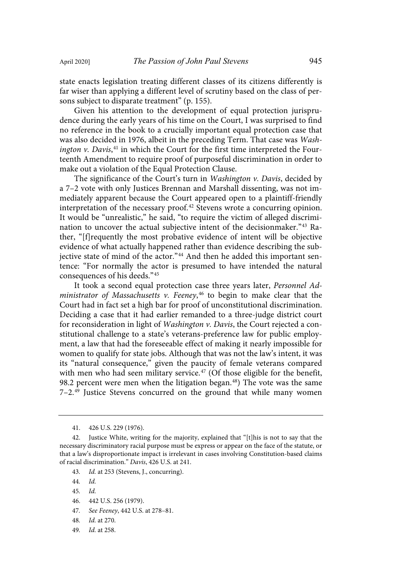state enacts legislation treating different classes of its citizens differently is far wiser than applying a different level of scrutiny based on the class of persons subject to disparate treatment" (p. 155).

Given his attention to the development of equal protection jurisprudence during the early years of his time on the Court, I was surprised to find no reference in the book to a crucially important equal protection case that was also decided in 1976, albeit in the preceding Term. That case was Washington v. Davis,<sup>41</sup> in which the Court for the first time interpreted the Fourteenth Amendment to require proof of purposeful discrimination in order to make out a violation of the Equal Protection Clause.

The significance of the Court's turn in Washington v. Davis, decided by a 7–2 vote with only Justices Brennan and Marshall dissenting, was not immediately apparent because the Court appeared open to a plaintiff-friendly interpretation of the necessary proof. <sup>42</sup> Stevens wrote a concurring opinion. It would be "unrealistic," he said, "to require the victim of alleged discrimination to uncover the actual subjective intent of the decisionmaker."<sup>43</sup> Rather, "[f]requently the most probative evidence of intent will be objective evidence of what actually happened rather than evidence describing the subjective state of mind of the actor."<sup>44</sup> And then he added this important sentence: "For normally the actor is presumed to have intended the natural consequences of his deeds." 45

It took a second equal protection case three years later, Personnel Ad*ministrator of Massachusetts v. Feeney*, $^{46}$  to begin to make clear that the Court had in fact set a high bar for proof of unconstitutional discrimination. Deciding a case that it had earlier remanded to a three-judge district court for reconsideration in light of Washington v. Davis, the Court rejected a constitutional challenge to a state's veterans-preference law for public employment, a law that had the foreseeable effect of making it nearly impossible for women to qualify for state jobs. Although that was not the law's intent, it was its "natural consequence," given the paucity of female veterans compared with men who had seen military service.<sup>47</sup> (Of those eligible for the benefit, 98.2 percent were men when the litigation began.<sup>48</sup>) The vote was the same 7–2.<sup>49</sup> Justice Stevens concurred on the ground that while many women

- 43. Id. at 253 (Stevens, J., concurring).
- 44. Id.
- 45. Id.
- 46. 442 U.S. 256 (1979).
- 47. See Feeney, 442 U.S. at 278–81.
- 48. Id. at 270.
- 49. Id. at 258.

<sup>41.</sup> 426 U.S. 229 (1976).

<sup>42.</sup> Justice White, writing for the majority, explained that "[t]his is not to say that the necessary discriminatory racial purpose must be express or appear on the face of the statute, or that a law's disproportionate impact is irrelevant in cases involving Constitution-based claims of racial discrimination." Davis, 426 U.S. at 241.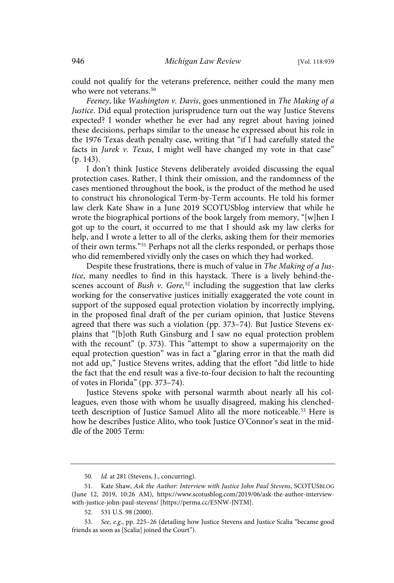could not qualify for the veterans preference, neither could the many men who were not veterans. 50

Feeney, like Washington v. Davis, goes unmentioned in The Making of a Justice. Did equal protection jurisprudence turn out the way Justice Stevens expected? I wonder whether he ever had any regret about having joined these decisions, perhaps similar to the unease he expressed about his role in the 1976 Texas death penalty case, writing that "if I had carefully stated the facts in Jurek v. Texas, I might well have changed my vote in that case" (p. 143).

I don't think Justice Stevens deliberately avoided discussing the equal protection cases. Rather, I think their omission, and the randomness of the cases mentioned throughout the book, is the product of the method he used to construct his chronological Term-by-Term accounts. He told his former law clerk Kate Shaw in a June 2019 SCOTUSblog interview that while he wrote the biographical portions of the book largely from memory, "[w]hen I got up to the court, it occurred to me that I should ask my law clerks for help, and I wrote a letter to all of the clerks, asking them for their memories of their own terms." <sup>51</sup> Perhaps not all the clerks responded, or perhaps those who did remembered vividly only the cases on which they had worked.

Despite these frustrations, there is much of value in The Making of a Justice, many needles to find in this haystack. There is a lively behind-thescenes account of Bush  $v$ . Gore,<sup>52</sup> including the suggestion that law clerks working for the conservative justices initially exaggerated the vote count in support of the supposed equal protection violation by incorrectly implying, in the proposed final draft of the per curiam opinion, that Justice Stevens agreed that there was such a violation (pp. 373–74). But Justice Stevens explains that "[b]oth Ruth Ginsburg and I saw no equal protection problem with the recount" (p. 373). This "attempt to show a supermajority on the equal protection question" was in fact a "glaring error in that the math did not add up," Justice Stevens writes, adding that the effort "did little to hide the fact that the end result was a five-to-four decision to halt the recounting of votes in Florida" (pp. 373–74).

Justice Stevens spoke with personal warmth about nearly all his colleagues, even those with whom he usually disagreed, making his clenchedteeth description of Justice Samuel Alito all the more noticeable.<sup>53</sup> Here is how he describes Justice Alito, who took Justice O'Connor's seat in the middle of the 2005 Term:

<sup>50</sup>. Id. at 281 (Stevens, J., concurring).

<sup>51.</sup> Kate Shaw, Ask the Author: Interview with Justice John Paul Stevens, SCOTUSBLOG (June 12, 2019, 10:26 AM), https://www.scotusblog.com/2019/06/ask-the-author-interviewwith-justice-john-paul-stevens/ [https://perma.cc/E5NW-JNTM].

<sup>52.</sup> 531 U.S. 98 (2000).

<sup>53</sup>. See, e.g., pp. 225–26 (detailing how Justice Stevens and Justice Scalia "became good friends as soon as [Scalia] joined the Court").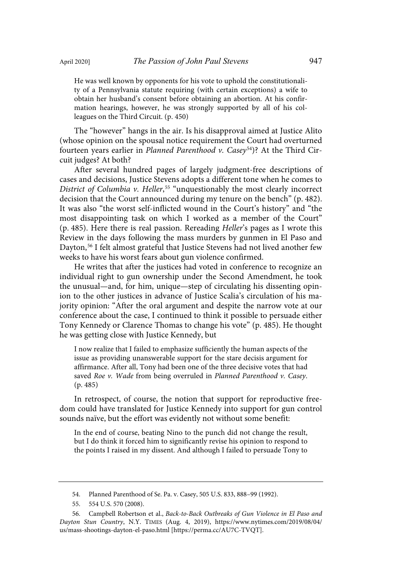He was well known by opponents for his vote to uphold the constitutionality of a Pennsylvania statute requiring (with certain exceptions) a wife to obtain her husband's consent before obtaining an abortion. At his confirmation hearings, however, he was strongly supported by all of his colleagues on the Third Circuit. (p. 450)

The "however" hangs in the air. Is his disapproval aimed at Justice Alito (whose opinion on the spousal notice requirement the Court had overturned fourteen years earlier in *Planned Parenthood v. Casey<sup>54</sup>)?* At the Third Circuit judges? At both?

After several hundred pages of largely judgment-free descriptions of cases and decisions, Justice Stevens adopts a different tone when he comes to District of Columbia v. Heller,<sup>55</sup> "unquestionably the most clearly incorrect decision that the Court announced during my tenure on the bench" (p. 482). It was also "the worst self-inflicted wound in the Court's history" and "the most disappointing task on which I worked as a member of the Court" (p. 485). Here there is real passion. Rereading Heller's pages as I wrote this Review in the days following the mass murders by gunmen in El Paso and Dayton, <sup>56</sup> I felt almost grateful that Justice Stevens had not lived another few weeks to have his worst fears about gun violence confirmed.

He writes that after the justices had voted in conference to recognize an individual right to gun ownership under the Second Amendment, he took the unusual—and, for him, unique—step of circulating his dissenting opinion to the other justices in advance of Justice Scalia's circulation of his majority opinion: "After the oral argument and despite the narrow vote at our conference about the case, I continued to think it possible to persuade either Tony Kennedy or Clarence Thomas to change his vote" (p. 485). He thought he was getting close with Justice Kennedy, but

I now realize that I failed to emphasize sufficiently the human aspects of the issue as providing unanswerable support for the stare decisis argument for affirmance. After all, Tony had been one of the three decisive votes that had saved Roe v. Wade from being overruled in Planned Parenthood v. Casey. (p. 485)

In retrospect, of course, the notion that support for reproductive freedom could have translated for Justice Kennedy into support for gun control sounds naïve, but the effort was evidently not without some benefit:

In the end of course, beating Nino to the punch did not change the result, but I do think it forced him to significantly revise his opinion to respond to the points I raised in my dissent. And although I failed to persuade Tony to

<sup>54.</sup> Planned Parenthood of Se. Pa. v. Casey, 505 U.S. 833, 888–99 (1992).

<sup>55.</sup> 554 U.S. 570 (2008).

<sup>56.</sup> Campbell Robertson et al., Back-to-Back Outbreaks of Gun Violence in El Paso and Dayton Stun Country, N.Y. TIMES (Aug. 4, 2019), https://www.nytimes.com/2019/08/04/ us/mass-shootings-dayton-el-paso.html [https://perma.cc/AU7C-TVQT].